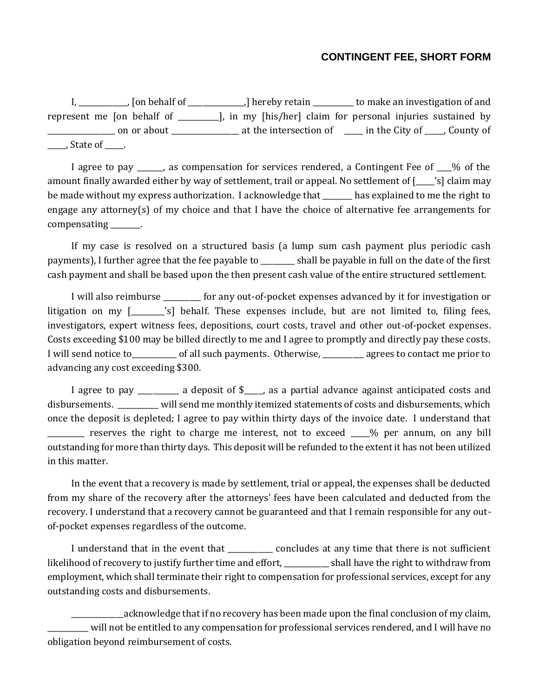## **CONTINGENT FEE, SHORT FORM**

I, \_\_\_\_\_\_\_\_\_\_\_\_\_, [on behalf of \_\_\_\_\_\_\_\_\_\_\_\_\_\_\_,] hereby retain \_\_\_\_\_\_\_\_\_\_\_ to make an investigation of and represent me [on behalf of \_\_\_\_\_\_\_\_\_\_\_], in my [his/her] claim for personal injuries sustained by \_\_\_\_\_\_\_\_\_\_\_\_\_\_\_\_\_\_ on or about \_\_\_\_\_\_\_\_\_\_\_\_\_\_\_\_\_\_ at the intersection of \_\_\_\_\_ in the City of \_\_\_\_\_, County of \_\_\_\_\_, State of \_\_\_\_\_.

I agree to pay \_\_\_\_\_, as compensation for services rendered, a Contingent Fee of \_\_% of the amount finally awarded either by way of settlement, trail or appeal. No settlement of [ \_\_\_\_'s] claim may be made without my express authorization. I acknowledge that has explained to me the right to engage any attorney(s) of my choice and that I have the choice of alternative fee arrangements for compensating  $\qquad \qquad$ .

If my case is resolved on a structured basis (a lump sum cash payment plus periodic cash payments), I further agree that the fee payable to \_\_\_\_\_\_\_\_\_ shall be payable in full on the date of the first cash payment and shall be based upon the then present cash value of the entire structured settlement.

I will also reimburse for any out-of-pocket expenses advanced by it for investigation or litigation on my [\_\_\_\_\_\_\_'s] behalf. These expenses include, but are not limited to, filing fees, investigators, expert witness fees, depositions, court costs, travel and other out-of-pocket expenses. Costs exceeding \$100 may be billed directly to me and I agree to promptly and directly pay these costs. I will send notice to each of all such payments. Otherwise, agrees to contact me prior to advancing any cost exceeding \$300.

I agree to pay \_\_\_\_\_\_\_\_\_ a deposit of \$\_\_\_\_, as a partial advance against anticipated costs and disbursements. \_\_\_\_\_\_\_\_\_\_\_ will send me monthly itemized statements of costs and disbursements, which once the deposit is depleted; I agree to pay within thirty days of the invoice date. I understand that \_\_\_\_\_\_\_\_\_\_ reserves the right to charge me interest, not to exceed \_\_\_\_\_% per annum, on any bill outstanding for more than thirty days. This deposit will be refunded to the extent it has not been utilized in this matter.

In the event that a recovery is made by settlement, trial or appeal, the expenses shall be deducted from my share of the recovery after the attorneys' fees have been calculated and deducted from the recovery. I understand that a recovery cannot be guaranteed and that I remain responsible for any outof-pocket expenses regardless of the outcome.

I understand that in the event that  $\qquad \qquad \qquad$  concludes at any time that there is not sufficient likelihood of recovery to justify further time and effort, \_\_\_\_\_\_\_\_\_\_\_\_ shall have the right to withdraw from employment, which shall terminate their right to compensation for professional services, except for any outstanding costs and disbursements.

\_\_\_\_\_\_\_\_\_\_\_\_\_\_acknowledge that if no recovery has been made upon the final conclusion of my claim, \_\_\_\_\_\_\_\_\_\_\_ will not be entitled to any compensation for professional services rendered, and I will have no obligation beyond reimbursement of costs.